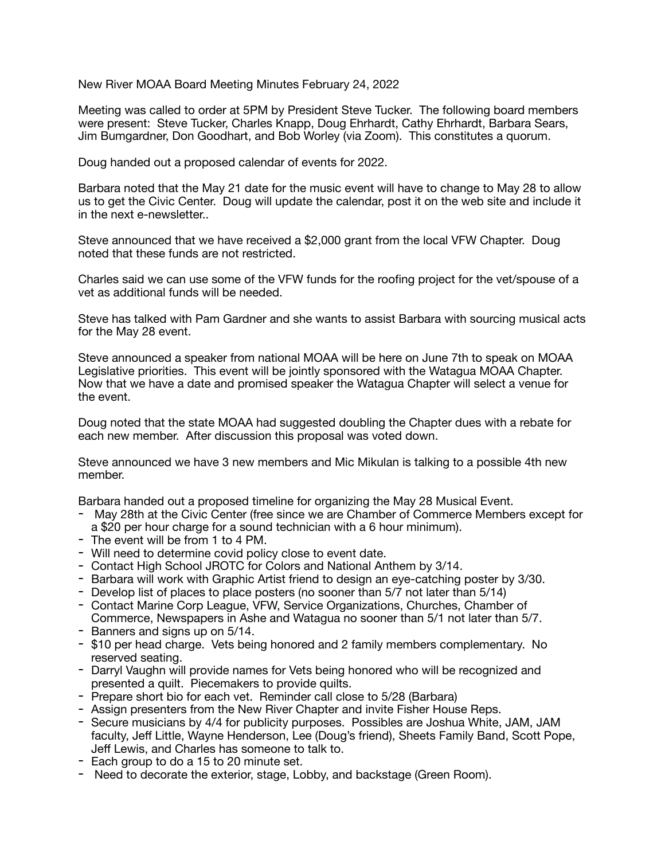New River MOAA Board Meeting Minutes February 24, 2022

Meeting was called to order at 5PM by President Steve Tucker. The following board members were present: Steve Tucker, Charles Knapp, Doug Ehrhardt, Cathy Ehrhardt, Barbara Sears, Jim Bumgardner, Don Goodhart, and Bob Worley (via Zoom). This constitutes a quorum.

Doug handed out a proposed calendar of events for 2022.

Barbara noted that the May 21 date for the music event will have to change to May 28 to allow us to get the Civic Center. Doug will update the calendar, post it on the web site and include it in the next e-newsletter..

Steve announced that we have received a \$2,000 grant from the local VFW Chapter. Doug noted that these funds are not restricted.

Charles said we can use some of the VFW funds for the roofing project for the vet/spouse of a vet as additional funds will be needed.

Steve has talked with Pam Gardner and she wants to assist Barbara with sourcing musical acts for the May 28 event.

Steve announced a speaker from national MOAA will be here on June 7th to speak on MOAA Legislative priorities. This event will be jointly sponsored with the Watagua MOAA Chapter. Now that we have a date and promised speaker the Watagua Chapter will select a venue for the event.

Doug noted that the state MOAA had suggested doubling the Chapter dues with a rebate for each new member. After discussion this proposal was voted down.

Steve announced we have 3 new members and Mic Mikulan is talking to a possible 4th new member.

Barbara handed out a proposed timeline for organizing the May 28 Musical Event.

- May 28th at the Civic Center (free since we are Chamber of Commerce Members except for a \$20 per hour charge for a sound technician with a 6 hour minimum).
- The event will be from 1 to 4 PM.
- Will need to determine covid policy close to event date.
- Contact High School JROTC for Colors and National Anthem by 3/14.
- Barbara will work with Graphic Artist friend to design an eye-catching poster by 3/30.
- Develop list of places to place posters (no sooner than 5/7 not later than 5/14)
- Contact Marine Corp League, VFW, Service Organizations, Churches, Chamber of Commerce, Newspapers in Ashe and Watagua no sooner than 5/1 not later than 5/7.
- Banners and signs up on 5/14.
- \$10 per head charge. Vets being honored and 2 family members complementary. No reserved seating.
- Darryl Vaughn will provide names for Vets being honored who will be recognized and presented a quilt. Piecemakers to provide quilts.
- Prepare short bio for each vet. Reminder call close to 5/28 (Barbara)
- Assign presenters from the New River Chapter and invite Fisher House Reps.
- Secure musicians by 4/4 for publicity purposes. Possibles are Joshua White, JAM, JAM faculty, Jeff Little, Wayne Henderson, Lee (Doug's friend), Sheets Family Band, Scott Pope, Jeff Lewis, and Charles has someone to talk to.
- Each group to do a 15 to 20 minute set.
- Need to decorate the exterior, stage, Lobby, and backstage (Green Room).